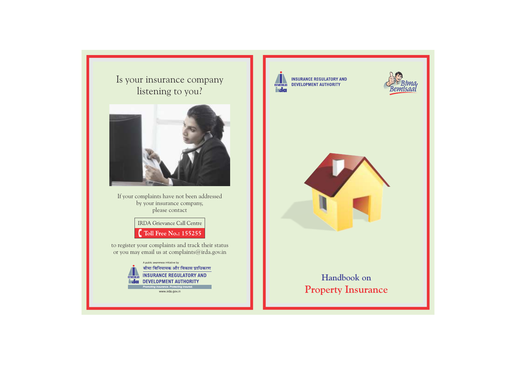Is your insurance company listening to you?



If your complaints have not been addressed by your insurance company, please contact

> **IRDA** Grievance Call Centre  $\int_{a}^{\infty}$  Toll Free No.: 155255

to register your complaints and track their status or you may email us at complaints@irda.gov.in

> A public awareness initiative by बीमा विनियामक और विकास प्राधिकरण **INSURANCE REGULATORY AND DEVELOPMENT AUTHORITY** inalen omoting insurance. Protecting insured.

> > www.irda.gov.in



**INSURANCE REGULATORY AND DEVELOPMENT AUTHORITY** 





## **Handbook on Property Insurance**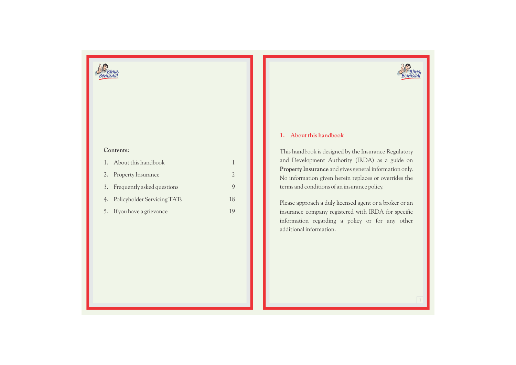

#### **Contents:**

| 1. About this handbook         |    |
|--------------------------------|----|
| 2. Property Insurance          |    |
| 3. Frequently asked questions  |    |
| 4. Policyholder Servicing TATs | 18 |
| 5. If you have a grievance     | 19 |



#### **1. About this handbook**

This handbook is designed by the Insurance Regulatory and Development Authority (IRDA) as a guide on **Property Insurance** and gives general information only. No information given herein replaces or overrides the terms and conditions of an insurance policy.

Please approach a duly licensed agent or a broker or an insurance company registered with IRDA for specific information regarding a policy or for any other additional information.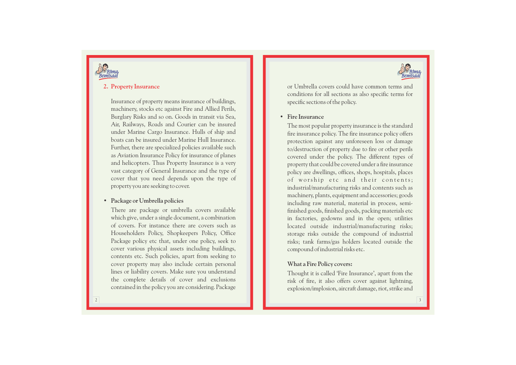



#### **2. Property Insurance**

Insurance of property means insurance of buildings, machinery, stocks etc against Fire and Allied Perils, Burglary Risks and so on. Goods in transit via Sea, Air, Railways, Roads and Courier can be insured under Marine Cargo Insurance. Hulls of ship and boats can be insured under Marine Hull Insurance. Further, there are specialized policies available such as Aviation Insurance Policy for insurance of planes and helicopters. Thus Property Insurance is a very vast category of General Insurance and the type of cover that you need depends upon the type of property you are seeking to cover.

#### • **Package or Umbrella policies**

There are package or umbrella covers available which give, under a single document, a combination of covers. For instance there are covers such as Householders Policy, Shopkeepers Policy, Office Package policy etc that, under one policy, seek to cover various physical assets including buildings, contents etc. Such policies, apart from seeking to cover property may also include certain personal lines or liability covers. Make sure you understand the complete details of cover and e xclusions contained in the policy you are considering. Package or Umbrella covers could have common terms and conditions for all sections as also specific terms for specific sections of the policy.

#### • **Fire Insurance**

The most popular property insurance is the standard fire insurance policy. The fire insurance policy offers protection against any unforeseen loss or damage to/destruction of property due to fire or other perils covered under the policy. The different types of property that could be covered under a fire insurance policy are dwellings, offices, shops, hospitals, places of worship etc and their contents; industrial/manufacturing risks and contents such as machinery, plants, equipment and accessories; goods including raw material, material in process, semifinished goods, finished goods, packing materials etc in factories, godowns and in the open; utilities located outside industrial/manufacturing risks; storage risks outside the compound of industrial risks; tank farms/gas holders located outside the compound of industrial risks etc.

#### **What a Fire Policy covers:**

Thought it is called 'Fire Insurance', apart from the risk of fire, it also offers cover against lightning, explosion/implosion, aircraft damage, riot, strike and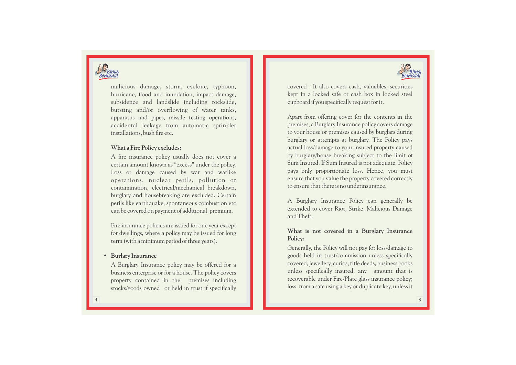



malicious damage, storm, cyclone, typhoon, hurricane, flood and inundation, impact damage, subsidence and landslide including rockslide, bursting and/or overflowing of water tanks, apparatus and pipes, missile testing operations, accidental leakage from automatic sprinkler installations, bush fire etc.

#### **What a Fire Policy e xcludes:**

A fire insurance policy usually does not cover a certain amount known as "e xcess" under the policy. Loss or damage caused by war and warlike operations, nuclear perils, pollution or contamination, electrical/mechanical breakdown, burglary and housebreaking are e xcluded. Certain perils like earthquake, spontaneous combustion etc can be covered on payment of additional premium.

Fire insurance policies are issued for one year except for dwellings, where a policy may be issued for long term (with a minimum period of three years).

#### • **Burlary Insurance**

A Burglary Insurance policy may be offered for a business enterprise or for a house. The policy covers property contained in the premises including stocks/goods owned or held in trust if specifically covered . It also covers cash, valuables, securities kept in a locked safe or cash box in locked steel cupboard if you specifically request for it.

Apart from offering cover for the contents in the premises, a Burglary Insurance policy covers damage to your house or premises caused by burglars during burglary or attempts at burglary. The Policy pays actual loss/damage to your insured property caused by burglary/house breaking subject to the limit of Sum Insured. If Sum Insured is not adequate, Policy pays only proportionate loss. Hence, you must ensure that you value the property covered correctly to ensure that there is no underinsurance.

A Burglary Insurance Policy can generally be extended to cover Riot, Strike, Malicious Damage and Theft.

# **What is not covered in a Burglary Insurance Policy:**

Generally, the Policy will not pay for loss/damage to goods held in trust/commission unless specifically covered, jewellery, curios, title deeds, business books unless specifically insured; any amount that is recoverable under Fire/Plate glass insurance policy; loss from a safe using a key or duplicate key, unless it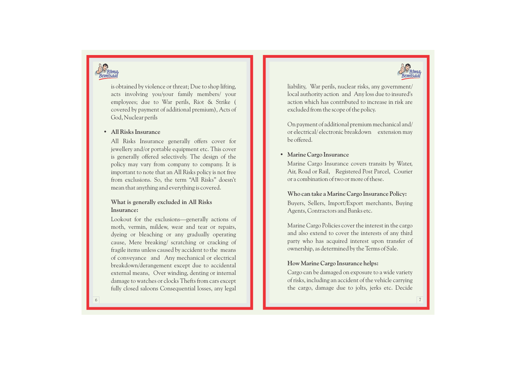



is obtained by violence or threat; Due to shop lifting, acts involving you/your family members/ your employees; due to War perils, Riot & Strike ( covered by payment of additional premium), Acts of God, Nuclear perils

#### • **All Risks Insurance**

All Risks Insurance generally offers cover for jewellery and/or portable equipment etc. This cover is generally offered selectively. The design of the policy may vary from company to company. It is important to note that an All Risks policy is not free from e xclusions. So, the term "All Risks" doesn't mean that anything and everything is covered.

#### **What is generally e xcluded in All Risks Insurance:**

Lookout for the e xclusions—generally actions of moth, vermin, mildew, wear and tear or repairs, dyeing or bleaching or any gradually operating cause, Mere breaking/ scratching or cracking of fragile items unless caused by accident to the means of conveyance and Any mechanical or electrical breakdown/derangement e xcept due to accidental external means, Over winding, denting or internal damage to watches or clocks Thefts from cars e xcept fully closed saloons Consequential losses, any legal

liability, War perils, nuclear risks, any government/ local authority action and Any loss due to insured's action which has contributed to increase in risk are excluded from the scope of the policy.

On payment of additional premium mechanical and/ or electrical/ electronic breakdown extension may be offered.

#### • **Marine Cargo Insurance**

Marine Cargo Insurance covers transits by Water, Air, Road or Rail, Registered Post Parcel, Courier or a combination of two or more of these.

#### **Who can take a Marine Cargo Insurance Policy:**

Buyers, Sellers, Import/Export merchants, Buying Agents, Contractors and Banks etc.

Marine Cargo Policies cover the interest in the cargo and also extend to cover the interests of any third party who has acquired interest upon transfer of ownership, as determined by the Terms of Sale.

#### **How Marine Cargo Insurance helps:**

Cargo can be damaged on exposure to a wide variety of risks, including an accident of the vehicle carrying the cargo, damage due to jolts, jerks etc. Decide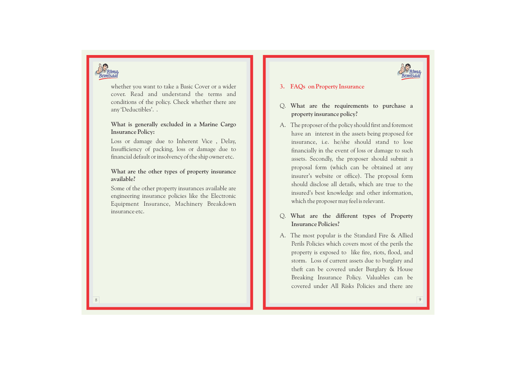



whether you want to take a Basic Cover or a wider cover. Read and understand the terms and conditions of the policy. Check whether there are any 'Deductibles'. .

#### **What is generally excluded in a Marine Cargo Insurance Policy:**

Loss or damage due to Inherent Vice , Delay, Insufficiency of packing, loss or damage due to financial default or insolvency of the ship owner etc.

#### **What are the other types of property insurance available?**

Some of the other property insurances available are engineering insurance policies like the Electronic Equipment Insurance, Machinery Breakdown insurance etc.

#### **3. FAQs on Property Insurance**

- Q. **What are the requirements to purchase a property insurance policy?**
- A. The proposer of the policy should first and foremost have an interest in the assets being proposed for insurance, i.e. he/she should stand to lose financially in the event of loss or damage to such assets. Secondly, the proposer should submit a proposal form (which can be obtained at any insurer's website or office). The proposal form should disclose all details, which are true to the insured's best knowledge and other information, which the proposer may feel is relevant.
- Q. **What are the different types of Property Insurance Policies?**
- A. The most popular is the Standard Fire & Allied Perils Policies which covers most of the perils the property is exposed to like fire, riots, flood, and storm. Loss of current assets due to burglary and theft can be covered under Burglary & House Breaking Insurance Policy. Valuables can be covered under All Risks Policies and there are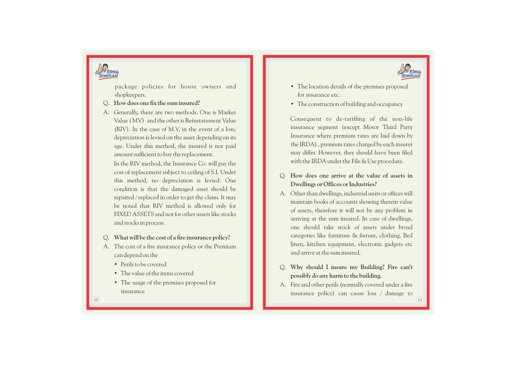



shopkeepers.

- Q . **How does one fix the sum insured?**
- A. Generally, there are two methods. One is Market Value (MV) and the other is Reinstatement Value (RIV). In the case of M.V, in the event of a loss, depreciation is levied on the asset depending on its age. Under this method, the insured is not paid amount sufficient to buy the replacement.

In the RIV method, the Insurance Co. will pay the cost of replacement subject to ceiling of S.I. Under this method, no depreciation is levied. One condition is that the damaged asset should be repaired / replaced in order to get the claim. It may be noted that RIV method is allowed only for FIXED ASSETS and not for other assets like stocks and stocks in process.

- Q . **What will be the cost of a fire insurance policy?**
- A. The cost of a fire insurance policy or the Premium can depend on the
	- Perils to be covered
	- The value of the items covered
	- The usage of the premises proposed for insurance
- The location details of the premises proposed for insurance etc.
- 

• The construction of building and occupancy Consequent to de-tariffing of the non - l i fe insurance segment (e xcept Motor Third Party Insurance where premium rates are laid down by the IRDA) , premium rates charged by each insurer may differ. However, they should have been filed with the IRDA under the File & Use procedure.

- Q . **How does one arrive at the value of assets in Dwellings or Offices or Industries?**
- $\label{eq:2} \begin{tabular}{p{0.8cm}} \hline \textbf{p} & \textbf{p} & \textbf{p} & \textbf{p} \\ \hline \textbf{p} & \textbf{p} & \textbf{p} \\ \hline \textbf{p} & \textbf{p} & \textbf{p} \\ \hline \textbf{p} & \textbf{p} & \textbf{p} \\ \hline \textbf{p} & \textbf{p} & \textbf{p} \\ \hline \textbf{p} & \textbf{p} & \textbf{p} \\ \hline \textbf{p} & \textbf{p} & \textbf{p} \\ \hline \textbf{p} & \textbf{p} & \textbf{p} \\ \$ A. Other than dwellings, industrial units or offices will maintain books of accounts showing therein value of assets, therefore it will not be any problem in arriving at the sum insured. In case of dwellings, one should take stock of assets under broad categories like furniture & fixture, clothing, Bed linen, kitchen equipment, electronic gadgets etc and arrive at the sum insured.
	- Q . **Why should I insure my Building? Fire can't possibly do any harm to the building.**
	- A. Fire and other perils (normally covered under a fire insurance policy) can cause loss / damage to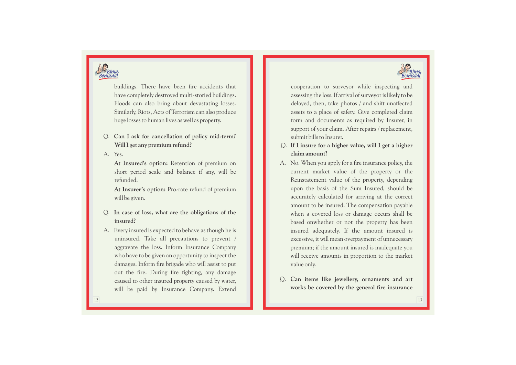



buildings. There have been fire accidents that have completely destroyed multi-storied buildings. Floods can also bring about devastating losses. Similarly, Riots, Acts of Terrorism can also produce huge losses to human lives as well as property.

Q. **Can I ask for cancellation of policy mid-term? Will I get any premium refund?** 

A. Yes.

**At Insured's option:** Retention of premium on short period scale and balance if any, will be refunded.

**At Insurer's option:** Pro-rate refund of premium will be given.

- Q. **In case of loss, what are the obligations of the insured?**
- A. Every insured is expected to behave as though he is uninsured. Take all precautions to prevent / aggravate the loss. Inform Insurance Company who have to be given an opportunity to inspect the damages. Inform fire brigade who will assist to put out the fire. During fire fighting, any damage caused to other insured property caused by water, will be paid by Insurance Company. Extend

cooperation to surveyor while inspecting and assessing the loss. If arrival of surveyor is likely to be delayed, then, take photos / and shift unaffected assets to a place of safety. Give completed claim form and documents as required by Insurer, in support of your claim. After repairs / replacement, submit bills to Insurer.

- Q. **If I insure for a higher value, will I get a higher claim amount?**
- A. No. When you apply for a fire insurance policy, the current market value of the property or the Reinstatement value of the property, depending upon the basis of the Sum Insured, should be accurately calculated for arriving at the correct amount to be insured. The compensation payable when a covered loss or damage occurs shall be based onwhether or not the property has been insured adequately. If the amount insured is excessive, it will mean overpayment of unnecessary premium; if the amount insured is inadequate you will receive amounts in proportion to the market value only.
- Q. **Can items like jewellery, ornaments and art works be covered by the general fire insurance**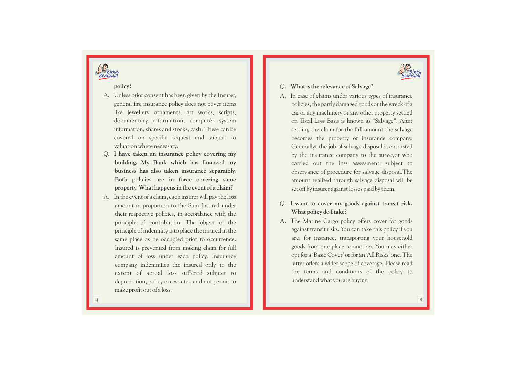

#### **policy?**

- A. Unless prior consent has been given by the Insurer, general fire insurance policy does not cover items like jewellery ornaments, art works, scripts, documentary information, computer system information, shares and stocks, cash. These can be covered on specific request and subject to valuation where necessary.
- Q . **I have taken an insurance policy covering my building. My Bank which has financed my business has also taken insurance separately. Both policies are in force covering same property. What happens in the event of a claim?**
- A. In the event of a claim, each insurer will pay the loss amount in proportion to the Sum Insured under their respective policies, in accordance with the principle of contribution. The object of the principle of indemnity is to place the insured in the same place as he occupied prior to occurrence. Insured is prevented from making claim for full amount of loss under each policy. Insurance company indemnifies the insured only to the extent of actual loss suffered subject to depreciation, policy e xcess etc., and not permit to make profit out of a loss.

### Q . **What is the relevance of Salvage?**

- A. In case of claims under various types of insurance policies, the partly damaged goods or the wreck of a car or any machinery or any other property settled on Total Loss Basis is known as "Salvage". After settling the claim for the full amount the salvage becomes the property of insurance company. Generallyt the job of salvage disposal is entrusted by the insurance company to the surveyor who carried out the loss assessment, subject to observance of procedure for salvage disposal.The amount realized through salvage disposal will be set off by insurer against losses paid by them.
- Q. **I want to cover my goods against transit risk. What policy do I take?**
- A. The Marine Cargo policy offers cover for goods against transit risks. You can take this policy if you are, for instance, transporting your household goods from one place to another. You may either opt for a 'Basic Cover' or for an 'All Risks' one. The latter offers a wider scope of coverage. Please read the terms and conditions of the policy to understand what you are buying .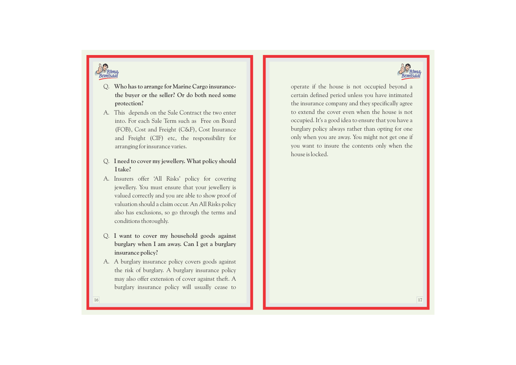



- Q. **Who has to arrange for Marine Cargo insurancethe buyer or the seller? Or do both need some protection?**
- A. This depends on the Sale Contract the two enter into. For each Sale Term such as Free on Board (FOB), Cost and Freight (C&F), Cost Insurance and Freight (CIF) etc, the responsibility for arranging for insurance varies.
- Q. **I need to cover my jewellery. What policy should I take?**
- A. Insurers offer 'All Risks' policy for covering jewellery. You must ensure that your jewellery is valued correctly and you are able to show proof of valuation should a claim occur. An All Risks policy also has exclusions, so go through the terms and conditions thoroughly.
- Q. **I want to cover my household goods against burglary when I am away. Can I get a burglary insurance policy?**
- A. A burglary insurance policy covers goods against the risk of burglary. A burglary insurance policy may also offer extension of cover against theft. A burglary insurance policy will usually cease to

operate if the house is not occupied beyond a certain defined period unless you have intimated the insurance company and they specifically agree to extend the cover even when the house is not occupied. It's a good idea to ensure that you have a burglary policy always rather than opting for one only when you are away. You might not get one if you want to insure the contents only when the house is locked.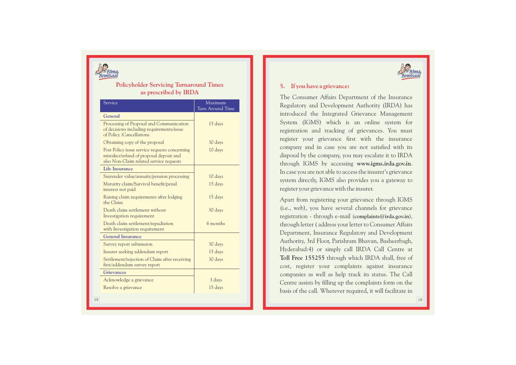

#### **Policyholder Servicing Turnaround Times as prescribed by IRD A**

| Service                                                                                                                             | Maximum<br>Turn Around Time |
|-------------------------------------------------------------------------------------------------------------------------------------|-----------------------------|
| General                                                                                                                             |                             |
| Processing of Proposal and Communication<br>of decisions including requirements/issue<br>of Policy /Cancellations                   | 15 days                     |
| Obtaining copy of the proposal                                                                                                      | 30 days                     |
| Post Policy issue service requests concerning<br>mistakes/refund of proposal deposit and<br>also Non-Claim related service requests | 10 days                     |
| <b>Life Insurance</b>                                                                                                               |                             |
| Surrender value/annuity/pension processing                                                                                          | 10 days                     |
| Maturity claim/Survival benefit/penal<br>interest not paid                                                                          | 15 days                     |
| Raising claim requirements after lodging<br>the Claim                                                                               | 15 days                     |
| Death claim settlement without<br>Investigation requirement                                                                         | 30 days                     |
| Death claim settlement/repudiation<br>with Investigation requirement                                                                | 6 months                    |
| <b>General Insurance</b>                                                                                                            |                             |
| Survey report submission                                                                                                            | 30 days                     |
| Insurer seeking addendum report                                                                                                     | 15 days                     |
| Settlement/rejection of Claim after receiving<br>first/addendum survey report                                                       | 30 days                     |
| <b>Grievances</b>                                                                                                                   |                             |
| Acknowledge a grievance                                                                                                             | 3 days                      |
| Resolve a grievance                                                                                                                 | 15 days                     |



#### **5. If you have a grievance:**

The Consumer Affairs Department of the Insurance Regulatory and Development Authority (IRDA) has introduced the Integrated Grievance Management System (IGMS) which is an online system for registration and tracking of grievances. You must register your grievance first with the insurance company and in case you are not satisfied with its disposal by the company, you may escalate it to IRDA through IGMS by accessing **www.igms.irda.gov.in**. In case you are not able to access the insurer's grievance system directly, IGMS also provides you a gateway to register your grievance with the insurer.

Apart from registering your grievance through IGMS (i.e., web), you have several channels for grievance registration - through e-mail (**complaints@irda.gov.in**), through letter ( address your letter to Consumer Affairs Department, Insurance Regulatory and Development Authority, 3rd Floor, Parishram Bhavan, Basheerbagh, Hyderabad:4) or simply call IRDA Call Centre at **Toll Free 155255** through which IRDA shall, free of cost, register your complaints against insurance companies as well as help track its status. The Call Centre assists by filling up the complaints form on the basis of the call. Wherever required, it will facilitate in